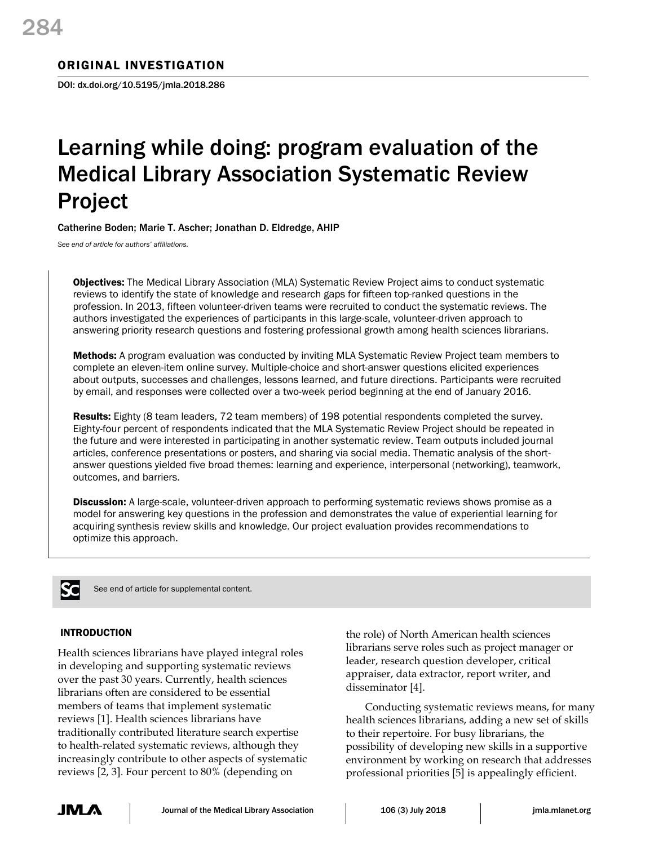## ORIGINAL INVESTIGATION

DOI: dx.doi.org/10.5195/jmla.2018.286

# Learning while doing: program evaluation of the Medical Library Association Systematic Review Project

Catherine Boden; Marie T. Ascher; Jonathan D. Eldredge, AHIP

*See end of article for authors' affiliations.*

Objectives: The Medical Library Association (MLA) Systematic Review Project aims to conduct systematic reviews to identify the state of knowledge and research gaps for fifteen top-ranked questions in the profession. In 2013, fifteen volunteer-driven teams were recruited to conduct the systematic reviews. The authors investigated the experiences of participants in this large-scale, volunteer-driven approach to answering priority research questions and fostering professional growth among health sciences librarians.

Methods: A program evaluation was conducted by inviting MLA Systematic Review Project team members to complete an eleven-item online survey. Multiple-choice and short-answer questions elicited experiences about outputs, successes and challenges, lessons learned, and future directions. Participants were recruited by email, and responses were collected over a two-week period beginning at the end of January 2016.

Results: Eighty (8 team leaders, 72 team members) of 198 potential respondents completed the survey. Eighty-four percent of respondents indicated that the MLA Systematic Review Project should be repeated in the future and were interested in participating in another systematic review. Team outputs included journal articles, conference presentations or posters, and sharing via social media. Thematic analysis of the shortanswer questions yielded five broad themes: learning and experience, interpersonal (networking), teamwork, outcomes, and barriers.

**Discussion:** A large-scale, volunteer-driven approach to performing systematic reviews shows promise as a model for answering key questions in the profession and demonstrates the value of experiential learning for acquiring synthesis review skills and knowledge. Our project evaluation provides recommendations to optimize this approach.



See end of article for supplemental content.

## INTRODUCTION

Health sciences librarians have played integral roles in developing and supporting systematic reviews over the past 30 years. Currently, health sciences librarians often are considered to be essential members of teams that implement systematic reviews [1]. Health sciences librarians have traditionally contributed literature search expertise to health-related systematic reviews, although they increasingly contribute to other aspects of systematic reviews [2, 3]. Four percent to 80% (depending on

the role) of North American health sciences librarians serve roles such as project manager or leader, research question developer, critical appraiser, data extractor, report writer, and disseminator [4].

Conducting systematic reviews means, for many health sciences librarians, adding a new set of skills to their repertoire. For busy librarians, the possibility of developing new skills in a supportive environment by working on research that addresses professional priorities [5] is appealingly efficient.

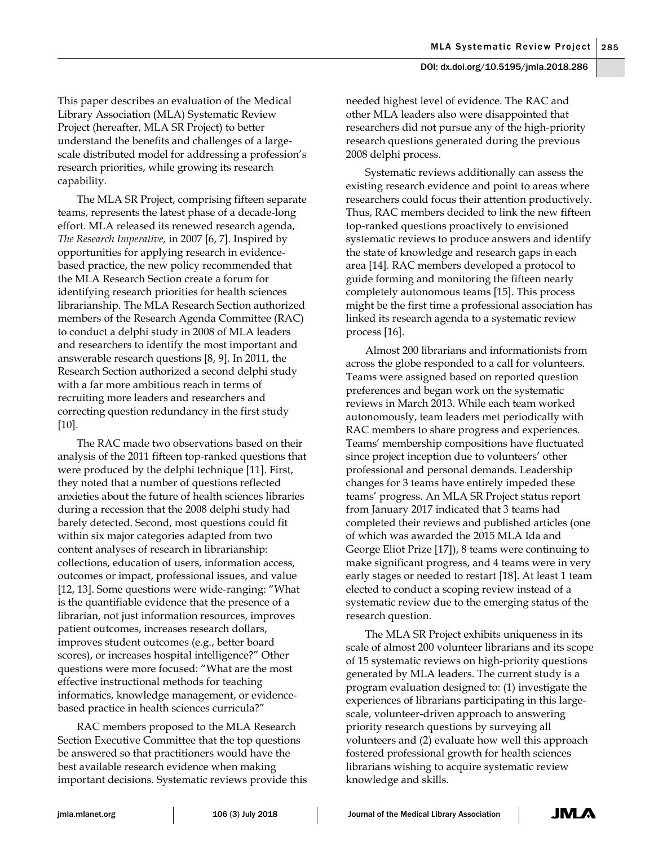This paper describes an evaluation of the Medical Library Association (MLA) Systematic Review Project (hereafter, MLA SR Project) to better understand the benefits and challenges of a largescale distributed model for addressing a profession's research priorities, while growing its research capability.

The MLA SR Project, comprising fifteen separate teams, represents the latest phase of a decade-long effort. MLA released its renewed research agenda, *The Research Imperative,* in 2007 [6, 7]. Inspired by opportunities for applying research in evidencebased practice, the new policy recommended that the MLA Research Section create a forum for identifying research priorities for health sciences librarianship. The MLA Research Section authorized members of the Research Agenda Committee (RAC) to conduct a delphi study in 2008 of MLA leaders and researchers to identify the most important and answerable research questions [8, 9]. In 2011, the Research Section authorized a second delphi study with a far more ambitious reach in terms of recruiting more leaders and researchers and correcting question redundancy in the first study [10].

The RAC made two observations based on their analysis of the 2011 fifteen top-ranked questions that were produced by the delphi technique [11]. First, they noted that a number of questions reflected anxieties about the future of health sciences libraries during a recession that the 2008 delphi study had barely detected. Second, most questions could fit within six major categories adapted from two content analyses of research in librarianship: collections, education of users, information access, outcomes or impact, professional issues, and value [12, 13]. Some questions were wide-ranging: "What is the quantifiable evidence that the presence of a librarian, not just information resources, improves patient outcomes, increases research dollars, improves student outcomes (e.g., better board scores), or increases hospital intelligence?" Other questions were more focused: "What are the most effective instructional methods for teaching informatics, knowledge management, or evidencebased practice in health sciences curricula?"

RAC members proposed to the MLA Research Section Executive Committee that the top questions be answered so that practitioners would have the best available research evidence when making important decisions. Systematic reviews provide this needed highest level of evidence. The RAC and other MLA leaders also were disappointed that researchers did not pursue any of the high-priority research questions generated during the previous 2008 delphi process.

Systematic reviews additionally can assess the existing research evidence and point to areas where researchers could focus their attention productively. Thus, RAC members decided to link the new fifteen top-ranked questions proactively to envisioned systematic reviews to produce answers and identify the state of knowledge and research gaps in each area [14]. RAC members developed a protocol to guide forming and monitoring the fifteen nearly completely autonomous teams [15]. This process might be the first time a professional association has linked its research agenda to a systematic review process [16].

Almost 200 librarians and informationists from across the globe responded to a call for volunteers. Teams were assigned based on reported question preferences and began work on the systematic reviews in March 2013. While each team worked autonomously, team leaders met periodically with RAC members to share progress and experiences. Teams' membership compositions have fluctuated since project inception due to volunteers' other professional and personal demands. Leadership changes for 3 teams have entirely impeded these teams' progress. An MLA SR Project status report from January 2017 indicated that 3 teams had completed their reviews and published articles (one of which was awarded the 2015 MLA Ida and George Eliot Prize [17]), 8 teams were continuing to make significant progress, and 4 teams were in very early stages or needed to restart [18]. At least 1 team elected to conduct a scoping review instead of a systematic review due to the emerging status of the research question.

The MLA SR Project exhibits uniqueness in its scale of almost 200 volunteer librarians and its scope of 15 systematic reviews on high-priority questions generated by MLA leaders. The current study is a program evaluation designed to: (1) investigate the experiences of librarians participating in this largescale, volunteer-driven approach to answering priority research questions by surveying all volunteers and (2) evaluate how well this approach fostered professional growth for health sciences librarians wishing to acquire systematic review knowledge and skills.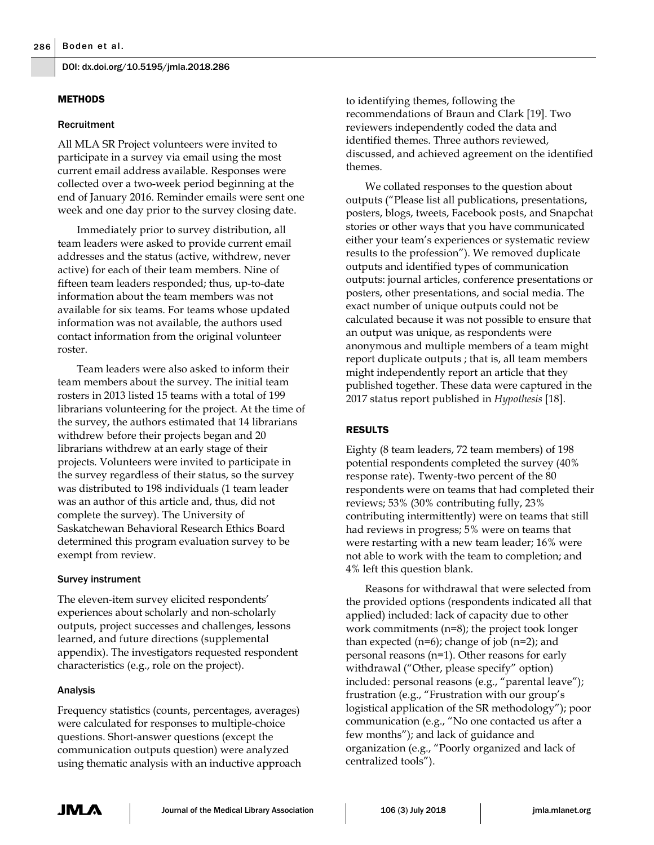#### **METHODS**

#### Recruitment

All MLA SR Project volunteers were invited to participate in a survey via email using the most current email address available. Responses were collected over a two-week period beginning at the end of January 2016. Reminder emails were sent one week and one day prior to the survey closing date.

Immediately prior to survey distribution, all team leaders were asked to provide current email addresses and the status (active, withdrew, never active) for each of their team members. Nine of fifteen team leaders responded; thus, up-to-date information about the team members was not available for six teams. For teams whose updated information was not available, the authors used contact information from the original volunteer roster.

Team leaders were also asked to inform their team members about the survey. The initial team rosters in 2013 listed 15 teams with a total of 199 librarians volunteering for the project. At the time of the survey, the authors estimated that 14 librarians withdrew before their projects began and 20 librarians withdrew at an early stage of their projects. Volunteers were invited to participate in the survey regardless of their status, so the survey was distributed to 198 individuals (1 team leader was an author of this article and, thus, did not complete the survey). The University of Saskatchewan Behavioral Research Ethics Board determined this program evaluation survey to be exempt from review.

#### Survey instrument

The eleven-item survey elicited respondents' experiences about scholarly and non-scholarly outputs, project successes and challenges, lessons learned, and future directions (supplemental appendix). The investigators requested respondent characteristics (e.g., role on the project).

#### Analysis

Frequency statistics (counts, percentages, averages) were calculated for responses to multiple-choice questions. Short-answer questions (except the communication outputs question) were analyzed using thematic analysis with an inductive approach

to identifying themes, following the recommendations of Braun and Clark [19]. Two reviewers independently coded the data and identified themes. Three authors reviewed, discussed, and achieved agreement on the identified themes.

We collated responses to the question about outputs ("Please list all publications, presentations, posters, blogs, tweets, Facebook posts, and Snapchat stories or other ways that you have communicated either your team's experiences or systematic review results to the profession"). We removed duplicate outputs and identified types of communication outputs: journal articles, conference presentations or posters, other presentations, and social media. The exact number of unique outputs could not be calculated because it was not possible to ensure that an output was unique, as respondents were anonymous and multiple members of a team might report duplicate outputs ; that is, all team members might independently report an article that they published together. These data were captured in the 2017 status report published in *Hypothesis* [18].

## RESULTS

Eighty (8 team leaders, 72 team members) of 198 potential respondents completed the survey (40% response rate). Twenty-two percent of the 80 respondents were on teams that had completed their reviews; 53% (30% contributing fully, 23% contributing intermittently) were on teams that still had reviews in progress; 5% were on teams that were restarting with a new team leader; 16% were not able to work with the team to completion; and 4% left this question blank.

Reasons for withdrawal that were selected from the provided options (respondents indicated all that applied) included: lack of capacity due to other work commitments (n=8); the project took longer than expected  $(n=6)$ ; change of job  $(n=2)$ ; and personal reasons (n=1). Other reasons for early withdrawal ("Other, please specify" option) included: personal reasons (e.g., "parental leave"); frustration (e.g., "Frustration with our group's logistical application of the SR methodology"); poor communication (e.g., "No one contacted us after a few months"); and lack of guidance and organization (e.g., "Poorly organized and lack of centralized tools").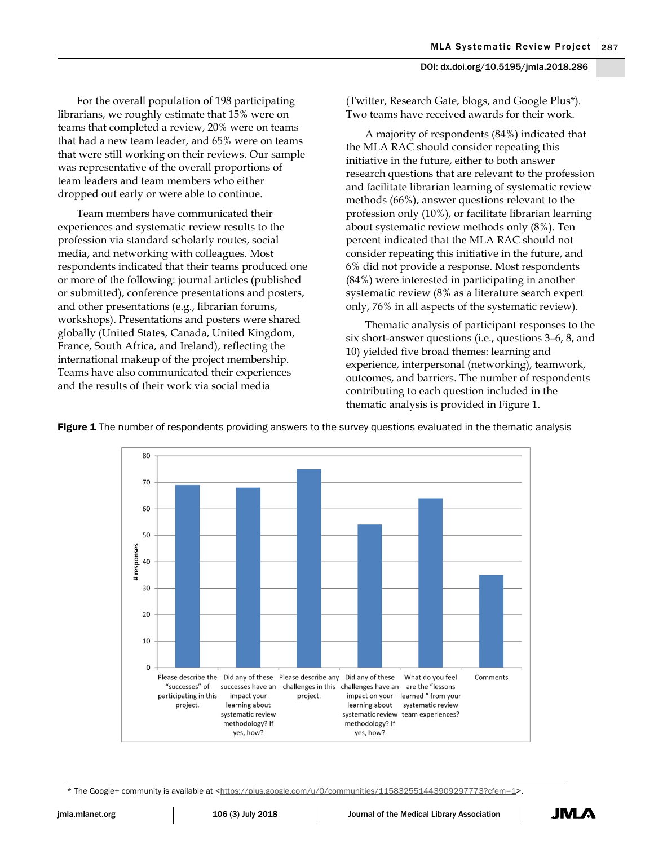For the overall population of 198 participating librarians, we roughly estimate that 15% were on teams that completed a review, 20% were on teams that had a new team leader, and 65% were on teams that were still working on their reviews. Our sample was representative of the overall proportions of team leaders and team members who either dropped out early or were able to continue.

Team members have communicated their experiences and systematic review results to the profession via standard scholarly routes, social media, and networking with colleagues. Most respondents indicated that their teams produced one or more of the following: journal articles (published or submitted), conference presentations and posters, and other presentations (e.g., librarian forums, workshops). Presentations and posters were shared globally (United States, Canada, United Kingdom, France, South Africa, and Ireland), reflecting the international makeup of the project membership. Teams have also communicated their experiences and the results of their work via social media

(Twitter, Research Gate, blogs, and Google Plus\*). Two teams have received awards for their work.

A majority of respondents (84%) indicated that the MLA RAC should consider repeating this initiative in the future, either to both answer research questions that are relevant to the profession and facilitate librarian learning of systematic review methods (66%), answer questions relevant to the profession only (10%), or facilitate librarian learning about systematic review methods only (8%). Ten percent indicated that the MLA RAC should not consider repeating this initiative in the future, and 6% did not provide a response. Most respondents (84%) were interested in participating in another systematic review (8% as a literature search expert only, 76% in all aspects of the systematic review).

Thematic analysis of participant responses to the six short-answer questions (i.e., questions 3–6, 8, and 10) yielded five broad themes: learning and experience, interpersonal (networking), teamwork, outcomes, and barriers. The number of respondents contributing to each question included in the thematic analysis is provided in Figure 1.



Figure 1 The number of respondents providing answers to the survey questions evaluated in the thematic analysis

\* The Google+ community is available at [<https://plus.google.com/u/0/communities/115832551443909297773?cfem=1](https://plus.google.com/u/0/communities/115832551443909297773?cfem=1)>.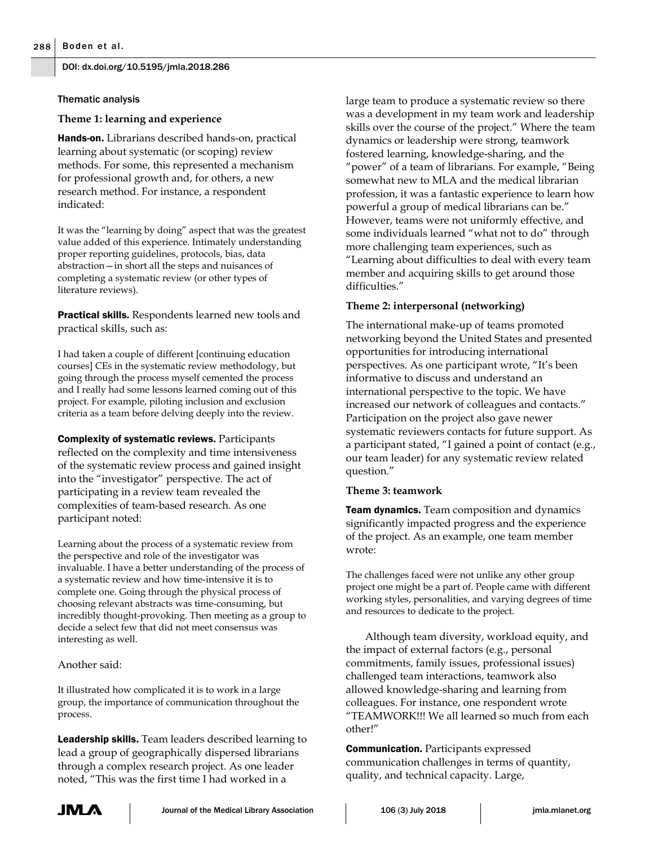#### Thematic analysis

#### **Theme 1: learning and experience**

Hands-on. Librarians described hands-on, practical learning about systematic (or scoping) review methods. For some, this represented a mechanism for professional growth and, for others, a new research method. For instance, a respondent indicated:

It was the "learning by doing" aspect that was the greatest value added of this experience. Intimately understanding proper reporting guidelines, protocols, bias, data abstraction—in short all the steps and nuisances of completing a systematic review (or other types of literature reviews).

Practical skills. Respondents learned new tools and practical skills, such as:

I had taken a couple of different [continuing education courses] CEs in the systematic review methodology, but going through the process myself cemented the process and I really had some lessons learned coming out of this project. For example, piloting inclusion and exclusion criteria as a team before delving deeply into the review.

Complexity of systematic reviews. Participants reflected on the complexity and time intensiveness of the systematic review process and gained insight into the "investigator" perspective. The act of participating in a review team revealed the complexities of team-based research. As one participant noted:

Learning about the process of a systematic review from the perspective and role of the investigator was invaluable. I have a better understanding of the process of a systematic review and how time-intensive it is to complete one. Going through the physical process of choosing relevant abstracts was time-consuming, but incredibly thought-provoking. Then meeting as a group to decide a select few that did not meet consensus was interesting as well.

#### Another said:

It illustrated how complicated it is to work in a large group, the importance of communication throughout the process.

Leadership skills. Team leaders described learning to lead a group of geographically dispersed librarians through a complex research project. As one leader noted, "This was the first time I had worked in a

large team to produce a systematic review so there was a development in my team work and leadership skills over the course of the project." Where the team dynamics or leadership were strong, teamwork fostered learning, knowledge-sharing, and the "power" of a team of librarians. For example, "Being somewhat new to MLA and the medical librarian profession, it was a fantastic experience to learn how powerful a group of medical librarians can be." However, teams were not uniformly effective, and some individuals learned "what not to do" through more challenging team experiences, such as "Learning about difficulties to deal with every team member and acquiring skills to get around those difficulties."

#### **Theme 2: interpersonal (networking)**

The international make-up of teams promoted networking beyond the United States and presented opportunities for introducing international perspectives. As one participant wrote, "It's been informative to discuss and understand an international perspective to the topic. We have increased our network of colleagues and contacts." Participation on the project also gave newer systematic reviewers contacts for future support. As a participant stated, "I gained a point of contact (e.g., our team leader) for any systematic review related question."

#### **Theme 3: teamwork**

**Team dynamics.** Team composition and dynamics significantly impacted progress and the experience of the project. As an example, one team member wrote:

The challenges faced were not unlike any other group project one might be a part of. People came with different working styles, personalities, and varying degrees of time and resources to dedicate to the project.

Although team diversity, workload equity, and the impact of external factors (e.g., personal commitments, family issues, professional issues) challenged team interactions, teamwork also allowed knowledge-sharing and learning from colleagues. For instance, one respondent wrote "TEAMWORK!!! We all learned so much from each other!"

**Communication.** Participants expressed communication challenges in terms of quantity, quality, and technical capacity. Large,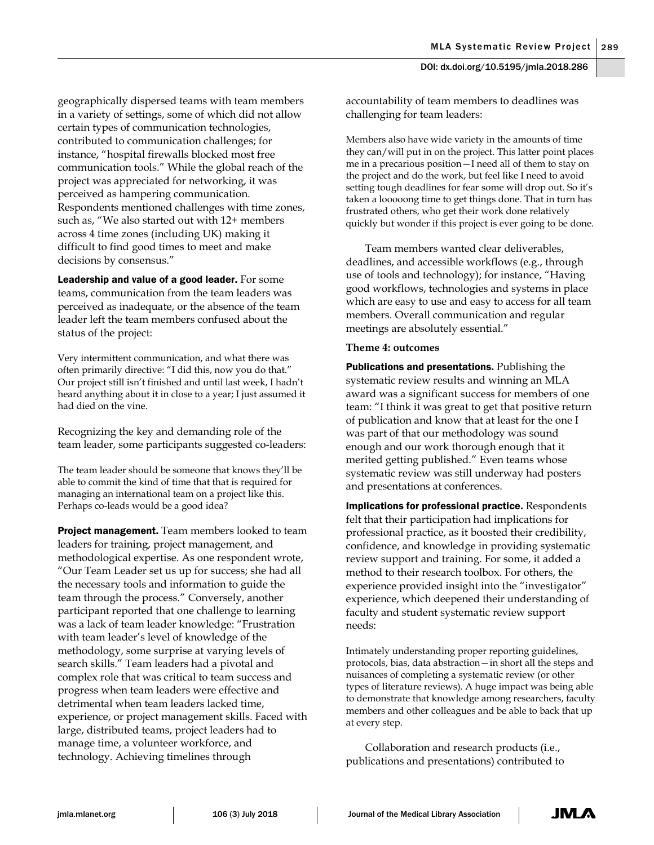geographically dispersed teams with team members in a variety of settings, some of which did not allow certain types of communication technologies, contributed to communication challenges; for instance, "hospital firewalls blocked most free communication tools." While the global reach of the project was appreciated for networking, it was perceived as hampering communication. Respondents mentioned challenges with time zones, such as, "We also started out with 12+ members across 4 time zones (including UK) making it difficult to find good times to meet and make decisions by consensus."

Leadership and value of a good leader. For some teams, communication from the team leaders was perceived as inadequate, or the absence of the team leader left the team members confused about the status of the project:

Very intermittent communication, and what there was often primarily directive: "I did this, now you do that." Our project still isn't finished and until last week, I hadn't heard anything about it in close to a year; I just assumed it had died on the vine.

Recognizing the key and demanding role of the team leader, some participants suggested co-leaders:

The team leader should be someone that knows they'll be able to commit the kind of time that that is required for managing an international team on a project like this. Perhaps co-leads would be a good idea?

**Project management.** Team members looked to team leaders for training, project management, and methodological expertise. As one respondent wrote, "Our Team Leader set us up for success; she had all the necessary tools and information to guide the team through the process." Conversely, another participant reported that one challenge to learning was a lack of team leader knowledge: "Frustration with team leader's level of knowledge of the methodology, some surprise at varying levels of search skills." Team leaders had a pivotal and complex role that was critical to team success and progress when team leaders were effective and detrimental when team leaders lacked time, experience, or project management skills. Faced with large, distributed teams, project leaders had to manage time, a volunteer workforce, and technology. Achieving timelines through

accountability of team members to deadlines was challenging for team leaders:

Members also have wide variety in the amounts of time they can/will put in on the project. This latter point places me in a precarious position—I need all of them to stay on the project and do the work, but feel like I need to avoid setting tough deadlines for fear some will drop out. So it's taken a looooong time to get things done. That in turn has frustrated others, who get their work done relatively quickly but wonder if this project is ever going to be done.

Team members wanted clear deliverables, deadlines, and accessible workflows (e.g., through use of tools and technology); for instance, "Having good workflows, technologies and systems in place which are easy to use and easy to access for all team members. Overall communication and regular meetings are absolutely essential."

#### **Theme 4: outcomes**

**Publications and presentations.** Publishing the systematic review results and winning an MLA award was a significant success for members of one team: "I think it was great to get that positive return of publication and know that at least for the one I was part of that our methodology was sound enough and our work thorough enough that it merited getting published." Even teams whose systematic review was still underway had posters and presentations at conferences.

Implications for professional practice. Respondents felt that their participation had implications for professional practice, as it boosted their credibility, confidence, and knowledge in providing systematic review support and training. For some, it added a method to their research toolbox. For others, the experience provided insight into the "investigator" experience, which deepened their understanding of faculty and student systematic review support needs:

Intimately understanding proper reporting guidelines, protocols, bias, data abstraction—in short all the steps and nuisances of completing a systematic review (or other types of literature reviews). A huge impact was being able to demonstrate that knowledge among researchers, faculty members and other colleagues and be able to back that up at every step.

Collaboration and research products (i.e., publications and presentations) contributed to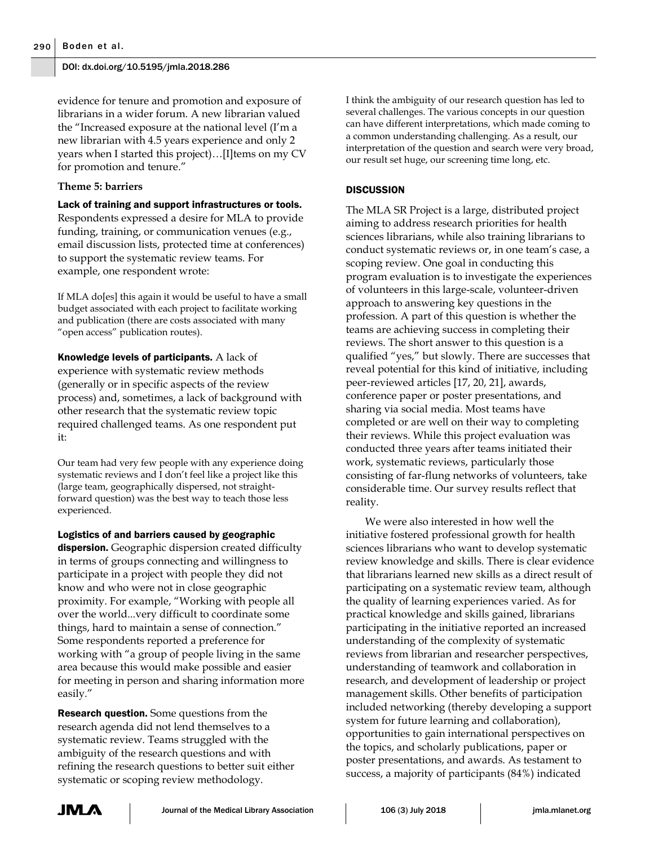evidence for tenure and promotion and exposure of librarians in a wider forum. A new librarian valued the "Increased exposure at the national level (I'm a new librarian with 4.5 years experience and only 2 years when I started this project)…[I]tems on my CV for promotion and tenure."

## **Theme 5: barriers**

Lack of training and support infrastructures or tools. Respondents expressed a desire for MLA to provide funding, training, or communication venues (e.g., email discussion lists, protected time at conferences) to support the systematic review teams. For example, one respondent wrote:

If MLA do[es] this again it would be useful to have a small budget associated with each project to facilitate working and publication (there are costs associated with many "open access" publication routes).

Knowledge levels of participants. A lack of experience with systematic review methods (generally or in specific aspects of the review process) and, sometimes, a lack of background with other research that the systematic review topic required challenged teams. As one respondent put it:

Our team had very few people with any experience doing systematic reviews and I don't feel like a project like this (large team, geographically dispersed, not straightforward question) was the best way to teach those less experienced.

Logistics of and barriers caused by geographic dispersion. Geographic dispersion created difficulty in terms of groups connecting and willingness to participate in a project with people they did not know and who were not in close geographic proximity. For example, "Working with people all over the world...very difficult to coordinate some things, hard to maintain a sense of connection." Some respondents reported a preference for working with "a group of people living in the same area because this would make possible and easier for meeting in person and sharing information more easily."

**Research question.** Some questions from the research agenda did not lend themselves to a systematic review. Teams struggled with the ambiguity of the research questions and with refining the research questions to better suit either systematic or scoping review methodology.

I think the ambiguity of our research question has led to several challenges. The various concepts in our question can have different interpretations, which made coming to a common understanding challenging. As a result, our interpretation of the question and search were very broad, our result set huge, our screening time long, etc.

## **DISCUSSION**

The MLA SR Project is a large, distributed project aiming to address research priorities for health sciences librarians, while also training librarians to conduct systematic reviews or, in one team's case, a scoping review. One goal in conducting this program evaluation is to investigate the experiences of volunteers in this large-scale, volunteer-driven approach to answering key questions in the profession. A part of this question is whether the teams are achieving success in completing their reviews. The short answer to this question is a qualified "yes," but slowly. There are successes that reveal potential for this kind of initiative, including peer-reviewed articles [17, 20, 21], awards, conference paper or poster presentations, and sharing via social media. Most teams have completed or are well on their way to completing their reviews. While this project evaluation was conducted three years after teams initiated their work, systematic reviews, particularly those consisting of far-flung networks of volunteers, take considerable time. Our survey results reflect that reality.

We were also interested in how well the initiative fostered professional growth for health sciences librarians who want to develop systematic review knowledge and skills. There is clear evidence that librarians learned new skills as a direct result of participating on a systematic review team, although the quality of learning experiences varied. As for practical knowledge and skills gained, librarians participating in the initiative reported an increased understanding of the complexity of systematic reviews from librarian and researcher perspectives, understanding of teamwork and collaboration in research, and development of leadership or project management skills. Other benefits of participation included networking (thereby developing a support system for future learning and collaboration), opportunities to gain international perspectives on the topics, and scholarly publications, paper or poster presentations, and awards. As testament to success, a majority of participants (84%) indicated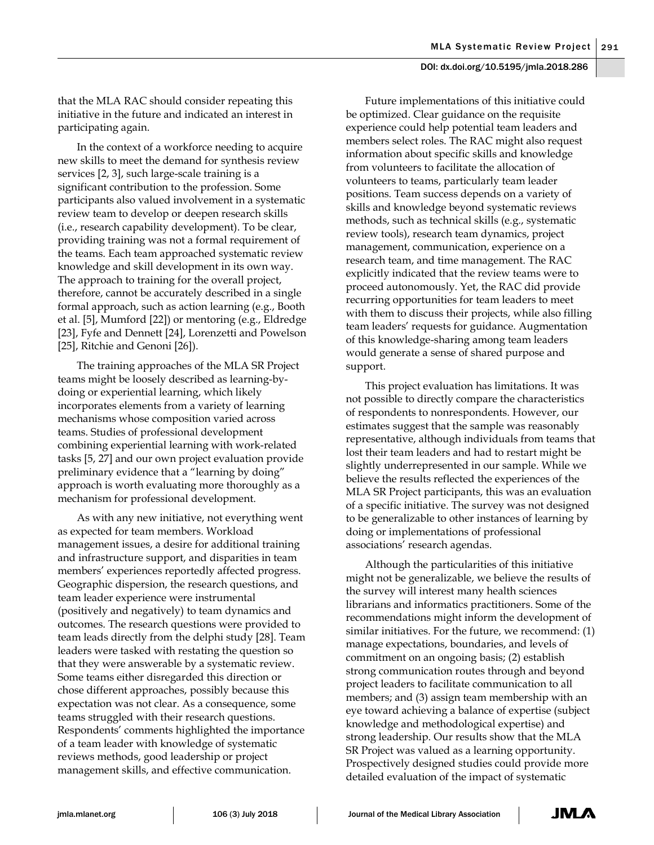that the MLA RAC should consider repeating this initiative in the future and indicated an interest in participating again.

In the context of a workforce needing to acquire new skills to meet the demand for synthesis review services [2, 3], such large-scale training is a significant contribution to the profession. Some participants also valued involvement in a systematic review team to develop or deepen research skills (i.e., research capability development). To be clear, providing training was not a formal requirement of the teams. Each team approached systematic review knowledge and skill development in its own way. The approach to training for the overall project, therefore, cannot be accurately described in a single formal approach, such as action learning (e.g., Booth et al. [5], Mumford [22]) or mentoring (e.g., Eldredge [23], Fyfe and Dennett [24], Lorenzetti and Powelson [25], Ritchie and Genoni [26]).

The training approaches of the MLA SR Project teams might be loosely described as learning-bydoing or experiential learning, which likely incorporates elements from a variety of learning mechanisms whose composition varied across teams. Studies of professional development combining experiential learning with work-related tasks [5, 27] and our own project evaluation provide preliminary evidence that a "learning by doing" approach is worth evaluating more thoroughly as a mechanism for professional development.

As with any new initiative, not everything went as expected for team members. Workload management issues, a desire for additional training and infrastructure support, and disparities in team members' experiences reportedly affected progress. Geographic dispersion, the research questions, and team leader experience were instrumental (positively and negatively) to team dynamics and outcomes. The research questions were provided to team leads directly from the delphi study [28]. Team leaders were tasked with restating the question so that they were answerable by a systematic review. Some teams either disregarded this direction or chose different approaches, possibly because this expectation was not clear. As a consequence, some teams struggled with their research questions. Respondents' comments highlighted the importance of a team leader with knowledge of systematic reviews methods, good leadership or project management skills, and effective communication.

Future implementations of this initiative could be optimized. Clear guidance on the requisite experience could help potential team leaders and members select roles. The RAC might also request information about specific skills and knowledge from volunteers to facilitate the allocation of volunteers to teams, particularly team leader positions. Team success depends on a variety of skills and knowledge beyond systematic reviews methods, such as technical skills (e.g., systematic review tools), research team dynamics, project management, communication, experience on a research team, and time management. The RAC explicitly indicated that the review teams were to proceed autonomously. Yet, the RAC did provide recurring opportunities for team leaders to meet with them to discuss their projects, while also filling team leaders' requests for guidance. Augmentation of this knowledge-sharing among team leaders would generate a sense of shared purpose and support.

This project evaluation has limitations. It was not possible to directly compare the characteristics of respondents to nonrespondents. However, our estimates suggest that the sample was reasonably representative, although individuals from teams that lost their team leaders and had to restart might be slightly underrepresented in our sample. While we believe the results reflected the experiences of the MLA SR Project participants, this was an evaluation of a specific initiative. The survey was not designed to be generalizable to other instances of learning by doing or implementations of professional associations' research agendas.

Although the particularities of this initiative might not be generalizable, we believe the results of the survey will interest many health sciences librarians and informatics practitioners. Some of the recommendations might inform the development of similar initiatives. For the future, we recommend: (1) manage expectations, boundaries, and levels of commitment on an ongoing basis; (2) establish strong communication routes through and beyond project leaders to facilitate communication to all members; and (3) assign team membership with an eye toward achieving a balance of expertise (subject knowledge and methodological expertise) and strong leadership. Our results show that the MLA SR Project was valued as a learning opportunity. Prospectively designed studies could provide more detailed evaluation of the impact of systematic

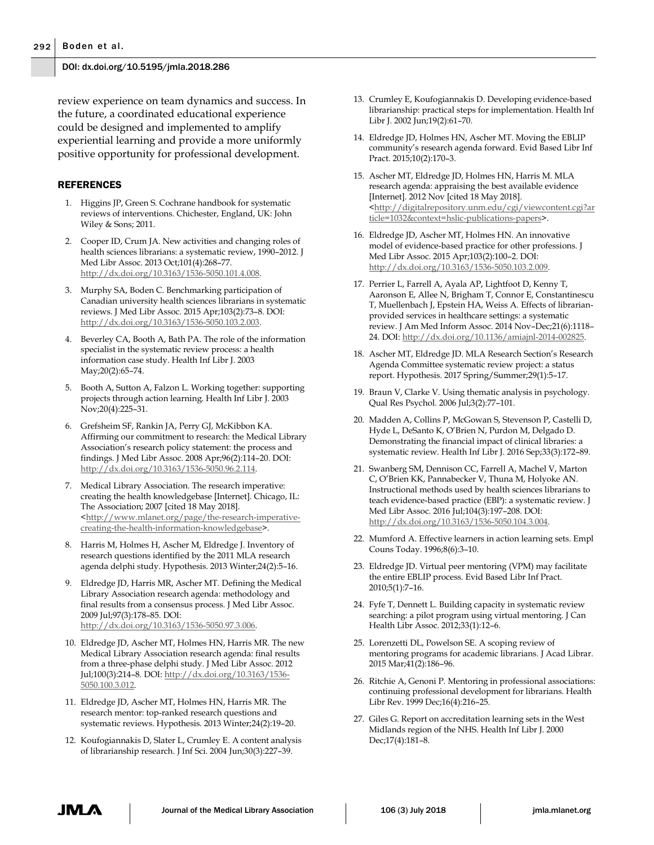review experience on team dynamics and success. In the future, a coordinated educational experience could be designed and implemented to amplify experiential learning and provide a more uniformly positive opportunity for professional development.

#### REFERENCES

- 1. Higgins JP, Green S. Cochrane handbook for systematic reviews of interventions. Chichester, England, UK: John Wiley & Sons; 2011.
- 2. Cooper ID, Crum JA. New activities and changing roles of health sciences librarians: a systematic review, 1990–2012. J Med Libr Assoc. 2013 Oct;101(4):268–77. [http://dx.doi.org/10.3163/1536-5050.101.4.008.](http://dx.doi.org/10.3163/1536-5050.101.4.008)
- 3. Murphy SA, Boden C. Benchmarking participation of Canadian university health sciences librarians in systematic reviews. J Med Libr Assoc. 2015 Apr;103(2):73–8. DOI: [http://dx.doi.org/10.3163/1536-5050.103.2.003.](http://dx.doi.org/10.3163/1536-5050.103.2.003)
- 4. Beverley CA, Booth A, Bath PA. The role of the information specialist in the systematic review process: a health information case study. Health Inf Libr J. 2003 May;20(2):65–74.
- 5. Booth A, Sutton A, Falzon L. Working together: supporting projects through action learning. Health Inf Libr J. 2003 Nov;20(4):225–31.
- 6. Grefsheim SF, Rankin JA, Perry GJ, McKibbon KA. Affirming our commitment to research: the Medical Library Association's research policy statement: the process and findings. J Med Libr Assoc. 2008 Apr;96(2):114–20. DOI: [http://dx.doi.org/10.3163/1536-5050.96.2.114.](http://dx.doi.org/10.3163/1536-5050.96.2.114)
- 7. Medical Library Association. The research imperative: creating the health knowledgebase [Internet]. Chicago, IL: The Association; 2007 [cited 18 May 2018]. [<http://www.mlanet.org/page/the-research-imperative](http://www.mlanet.org/page/the-research-imperative-creating-the-health-information-knowledgebase)[creating-the-health-information-knowledgebase>](http://www.mlanet.org/page/the-research-imperative-creating-the-health-information-knowledgebase).
- 8. Harris M, Holmes H, Ascher M, Eldredge J. Inventory of research questions identified by the 2011 MLA research agenda delphi study. Hypothesis. 2013 Winter;24(2):5–16.
- 9. Eldredge JD, Harris MR, Ascher MT. Defining the Medical Library Association research agenda: methodology and final results from a consensus process. J Med Libr Assoc. 2009 Jul;97(3):178–85. DOI: [http://dx.doi.org/10.3163/1536-5050.97.3.006.](http://dx.doi.org/10.3163/1536-5050.97.3.006)
- 10. Eldredge JD, Ascher MT, Holmes HN, Harris MR. The new Medical Library Association research agenda: final results from a three-phase delphi study. J Med Libr Assoc. 2012 Jul;100(3):214–8. DOI[: http://dx.doi.org/10.3163/1536-](http://dx.doi.org/10.3163/1536-5050.100.3.012) [5050.100.3.012.](http://dx.doi.org/10.3163/1536-5050.100.3.012)
- 11. Eldredge JD, Ascher MT, Holmes HN, Harris MR. The research mentor: top-ranked research questions and systematic reviews. Hypothesis. 2013 Winter;24(2):19–20.
- 12. Koufogiannakis D, Slater L, Crumley E. A content analysis of librarianship research. J Inf Sci. 2004 Jun;30(3):227–39.
- 13. Crumley E, Koufogiannakis D. Developing evidence-based librarianship: practical steps for implementation. Health Inf Libr J. 2002 Jun;19(2):61–70.
- 14. Eldredge JD, Holmes HN, Ascher MT. Moving the EBLIP community's research agenda forward. Evid Based Libr Inf Pract. 2015;10(2):170–3.
- 15. Ascher MT, Eldredge JD, Holmes HN, Harris M. MLA research agenda: appraising the best available evidence [Internet]. 2012 Nov [cited 18 May 2018]. [<http://digitalrepository.unm.edu/cgi/viewcontent.cgi?ar](http://digitalrepository.unm.edu/cgi/viewcontent.cgi?article=1032&context=hslic-publications-papers) [ticle=1032&context=hslic-publications-papers>](http://digitalrepository.unm.edu/cgi/viewcontent.cgi?article=1032&context=hslic-publications-papers).
- 16. Eldredge JD, Ascher MT, Holmes HN. An innovative model of evidence-based practice for other professions. J Med Libr Assoc. 2015 Apr;103(2):100–2. DOI: [http://dx.doi.org/10.3163/1536-5050.103.2.009.](http://dx.doi.org/10.3163/1536-5050.103.2.009)
- 17. Perrier L, Farrell A, Ayala AP, Lightfoot D, Kenny T, Aaronson E, Allee N, Brigham T, Connor E, Constantinescu T, Muellenbach J, Epstein HA, Weiss A. Effects of librarianprovided services in healthcare settings: a systematic review. J Am Med Inform Assoc. 2014 Nov–Dec;21(6):1118– 24. DOI: [http://dx.doi.org/10.1136/amiajnl-2014-002825.](http://dx.doi.org/10.1136/amiajnl-2014-002825)
- 18. Ascher MT, Eldredge JD. MLA Research Section's Research Agenda Committee systematic review project: a status report. Hypothesis. 2017 Spring/Summer;29(1):5–17.
- 19. Braun V, Clarke V. Using thematic analysis in psychology. Qual Res Psychol. 2006 Jul;3(2):77–101.
- 20. Madden A, Collins P, McGowan S, Stevenson P, Castelli D, Hyde L, DeSanto K, O'Brien N, Purdon M, Delgado D. Demonstrating the financial impact of clinical libraries: a systematic review. Health Inf Libr J. 2016 Sep;33(3):172–89.
- 21. Swanberg SM, Dennison CC, Farrell A, Machel V, Marton C, O'Brien KK, Pannabecker V, Thuna M, Holyoke AN. Instructional methods used by health sciences librarians to teach evidence-based practice (EBP): a systematic review. J Med Libr Assoc. 2016 Jul;104(3):197–208. DOI: [http://dx.doi.org/10.3163/1536-5050.104.3.004.](http://dx.doi.org/10.3163/1536-5050.104.3.004)
- 22. Mumford A. Effective learners in action learning sets. Empl Couns Today. 1996;8(6):3–10.
- 23. Eldredge JD. Virtual peer mentoring (VPM) may facilitate the entire EBLIP process. Evid Based Libr Inf Pract. 2010;5(1):7–16.
- 24. Fyfe T, Dennett L. Building capacity in systematic review searching: a pilot program using virtual mentoring. J Can Health Libr Assoc. 2012;33(1):12–6.
- 25. Lorenzetti DL, Powelson SE. A scoping review of mentoring programs for academic librarians. J Acad Librar. 2015 Mar;41(2):186–96.
- 26. Ritchie A, Genoni P. Mentoring in professional associations: continuing professional development for librarians. Health Libr Rev. 1999 Dec;16(4):216–25.
- 27. Giles G. Report on accreditation learning sets in the West Midlands region of the NHS. Health Inf Libr J. 2000 Dec;17(4):181–8.